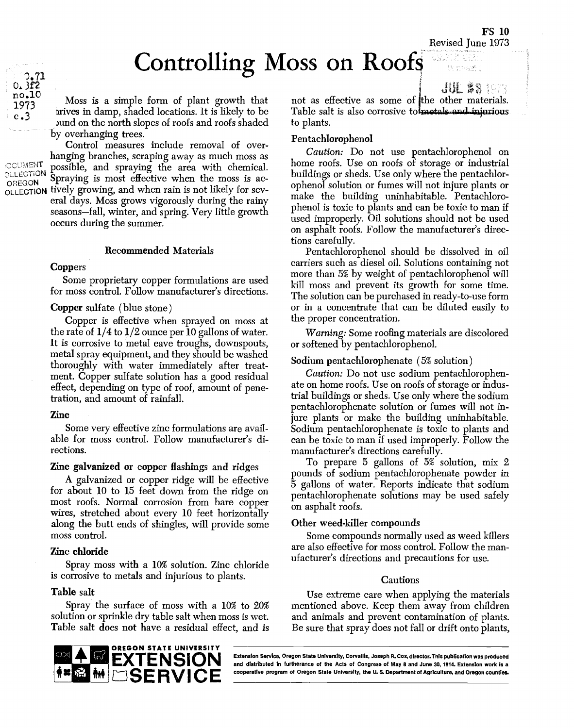FS 10 Revised June 1973

 $\mathrm{JUL}$  && 1973

# Controlling Moss on Roofs

 $\begin{array}{ll}\n\text{r}_{12} \\
\text{r}_{23} \\
\text{v}_3\n\end{array}$  irives in damp, shaded locations. It is likely to be Table Moss is a simple form of plant growth that ) and on the north slopes of roofs and roofs shaded by overhanging trees.

Control measures include removal of overhanging branches, scraping away as much moss as possible, and spraymg the area with chemical Spraying is most effective when the moss is ac-OREGON Spraying is most enective when the moss is ac-<br>OLLECTION tively growing, and when rain is not likely for several days. Moss grows vigorously during the rainy seasons-fall, winter, and spring. Very little growth occurs during the summer.

## Recommended Materials

## **Coppers**

Some proprietary copper formulations are used for moss control. Follow manufacturer's directions.

## Copper sulfate (blue stone)

Copper is effective when sprayed on moss at the rate of  $1/4$  to  $1/2$  ounce per 10 gallons of water. It is corrosive to metal eave troughs, downspouts, metal spray equipment, and they should be washed thoroughly with water immediately after treatment. Copper sulfate solution has a good residual effect, depending on type of roof, amount of penetration, and amount of rainfall.

### Zinc

Some very effective zinc formulations are available for moss control. Follow manufacturer's directions.

# Zinc galvanized or copper flashings and ridges

A galvanized or copper ridge will be effective for about 10 to 15 feet down from the ridge on most roofs. Normal corrosion from bare copper wires, stretched about every 10 feet horizontally along the butt ends of shingles, will provide some moss control.

## Zinc chloride

Spray moss with a 10% solution. Zinc chloride is corrosive to metals and injurious to plants.

# Table salt

Spray the surface of moss with a 10% to 20% solution or sprinkle dry table salt when moss is wet. Table salt does not have a residual effect, and is



## Pentachiorophenol

Caution: Do not use pentachlorophenol on home roofs. Use on roofs of storage or industrial buildings or sheds. Use only where the pentachlorophenol solution or fumes will not injure plants or make the building uninhabitable. Pentachlorophenol is toxic to plants and can be toxic to man if used improperly. Oil solutions should not be used on asphalt roofs. Follow the manufacturer's directions carefully.

Pentachlorophenol should be dissolved in oil carriers such as diesel oil. Solutions containing not more than 5% by weight of pentachlorophenol will kill moss and prevent its growth for some time. The solution can be purchased in ready-to-use form or in a concentrate that can be diluted easily to the proper concentration.

Warning: Some roofing materials are discolored or softened by pentachiorophenol.

## Sodium pentachiorophenate (5% solution)

Caution: Do not use sodium pentachlorophenate on home roofs. Use on roofs of storage or industrial buildings or sheds. Use only where the sodium pentachlorophenate solution or fumes will not injure plants or make the building uninhabitable. Sodium pentachlorophenate is toxic to plants and can be toxic to man if used improperly. Follow the manufacturer's directions carefully.

To prepare 5 gallons of 5% solution, mix 2 pounds of sodium pentachiorophenate powder in 5 gallons of water. Reports indicate that sodium pentachlorophenate solutions may be used safely on asphalt roofs.

## Other weed-killer compounds

Some compounds normally used as weed killers are also effective for moss control. Follow the manufacturer's directions and precautions for use.

### **Cautions**

Use extreme care when applying the materials mentioned above. Keep them away from children and animals and prevent contamination of plants. Be sure that spray does not fall or drift onto plants,



Extension Service, Oregon State University, Corvallis, Joseph A. Ccx, director. This publication was produced and distributed in furtherance of the Acts of Congress of May 8 and june 39, 1914. Extension work is a

OCUMENT **OLLECTION** 

 $1973$ <br>c.3

.71 0.3f2 no.10